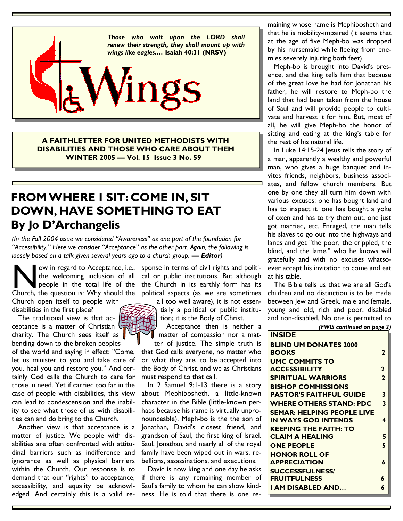

**A FAITHLETTER FOR UNITED METHODISTS WITH DISABILITIES AND THOSE WHO CARE ABOUT THEM WINTER 2005 — Vol. 15 Issue 3 No. 59** 

# **FROM WHERE I SIT: COME IN, SIT DOWN, HAVE SOMETHING TO EAT By Jo D'Archangelis**

*(In the Fall 2004 issue we considered "Awareness" as one part of the foundation for "Accessibility." Here we consider "Acceptance" as the other part. Again, the following is loosely based on a talk given several years ago to a church group.* — **Editor**)

Now in regard to Acceptance, i.e., sponse in terms of civil rights and politi-<br>the welcoming inclusion of all cal or public institutions. But although<br>people in the total life of the the Church in its earthly form has its<br> Church open itself to people with

disabilities in the first place?

 The traditional view is that acceptance is a matter of Christian charity. The Church sees itself as bending down to the broken peoples

of the world and saying in effect: "Come, let us minister to you and take care of you, heal you and restore you." And certainly God calls the Church to care for those in need. Yet if carried too far in the case of people with disabilities, this view can lead to condescension and the inability to see what those of us with disabilities can and do bring to the Church.

 Another view is that acceptance is a matter of justice. We people with disabilities are often confronted with attitudinal barriers such as indifference and ignorance as well as physical barriers within the Church. Our response is to demand that our "rights" to acceptance, accessibility, and equality be acknowledged. And certainly this is a valid re-

the welcoming inclusion of all cal or public institutions. But although people in the total life of the the Church in its earthly form has its ow in regard to Acceptance, i.e., sponse in terms of civil rights and politi-

> all too well aware), it is not essentially a political or public institution; it is the Body of Christ.

 Acceptance then is neither a matter of compassion nor a mat-

ter of justice. The simple truth is that God calls everyone, no matter who or what they are, to be accepted into the Body of Christ, and we as Christians must respond to that call.

 In 2 Samuel 9:1-13 there is a story about Mephibosheth, a little-known character in the Bible (little-known perhaps because his name is virtually unpronounceable). Meph-bo is the the son of Jonathan, David's closest friend, and grandson of Saul, the first king of Israel. Saul, Jonathan, and nearly all of the royal family have been wiped out in wars, rebellions, assassinations, and executions.

 David is now king and one day he asks if there is any remaining member of Saul's family to whom he can show kindness. He is told that there is one re-

maining whose name is Mephibosheth and that he is mobility-impaired (it seems that at the age of five Meph-bo was dropped by his nursemaid while fleeing from enemies severely injuring both feet).

 Meph-bo is brought into David's presence, and the king tells him that because of the great love he had for Jonathan his father, he will restore to Meph-bo the land that had been taken from the house of Saul and will provide people to cultivate and harvest it for him. But, most of all, he will give Meph-bo the honor of sitting and eating at the king's table for the rest of his natural life.

 In Luke 14:15-24 Jesus tells the story of a man, apparently a wealthy and powerful man, who gives a huge banquet and invites friends, neighbors, business associates, and fellow church members. But one by one they all turn him down with various excuses: one has bought land and has to inspect it, one has bought a yoke of oxen and has to try them out, one just got married, etc. Enraged, the man tells his slaves to go out into the highways and lanes and get ''the poor, the crippled, the blind, and the lame,'' who he knows will gratefully and with no excuses whatsoever accept his invitation to come and eat at his table.

 The Bible tells us that we are all God's children and no distinction is to be made between Jew and Greek, male and female, young and old, rich and poor, disabled and non-disabled. No one is permitted to *(FWIS continued on page 2)* 

| <b>INSIDE</b>                     |                |
|-----------------------------------|----------------|
| <b>BLIND UM DONATES 2000</b>      |                |
| <b>BOOKS</b>                      | 2              |
| <b>UMC COMMITS TO</b>             |                |
| <b>ACCESSIBILITY</b>              | $\mathbf{2}$   |
| <b>SPIRITUAL WARRIORS</b>         | $\overline{2}$ |
| <b>BISHOP COMMISSIONS</b>         |                |
| <b>PASTOR'S FAITHFUL GUIDE</b>    | 3              |
| <b>WHERE OTHERS STAND: PDC</b>    | 3              |
| <b>SEMAR: HELPING PEOPLE LIVE</b> |                |
| <b>IN WAYS GOD INTENDS</b>        | 4              |
| <b>KEEPING THE FAITH: TO</b>      |                |
| <b>CLAIM A HEALING</b>            | 5              |
| <b>ONE PEOPLE</b>                 | 5              |
| <b>HONOR ROLL OF</b>              |                |
| <b>APPRECIATION</b>               | 6              |
| <b>SUCCESSFULNESS/</b>            |                |
| <b>FRUITFULNESS</b>               | 6              |
| I AM DISABLED AND                 | 6              |
|                                   |                |

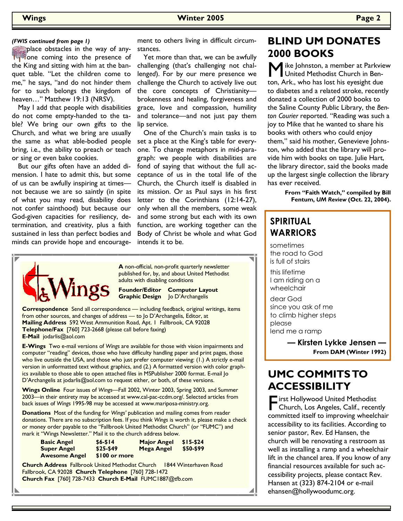#### *(FWIS continued from page 1)*

place obstacles in the way of anyone coming into the presence of the King and sitting with him at the banquet table. "Let the children come to me," he says, "and do not hinder them for to such belongs the kingdom of heaven…" Matthew 19:13 (NRSV).

 May I add that people with disabilities do not come empty-handed to the table? We bring our own gifts to the Church, and what we bring are usually the same as what able-bodied people bring, i.e., the ability to preach or teach or sing or even bake cookies.

 But our gifts often have an added dimension. I hate to admit this, but some of us can be awfully inspiring at times not because we are so saintly (in spite of what you may read, disability does not confer sainthood) but because our God-given capacities for resiliency, determination, and creativity, plus a faith sustained in less than perfect bodies and minds can provide hope and encourage-

ment to others living in difficult circumstances.

 Yet more than that, we can be awfully challenging (that's challeng*ing* not challeng*ed*). For by our mere presence we challenge the Church to actively live out the core concepts of Christianity brokenness and healing, forgiveness and grace, love and compassion, humility and tolerance—and not just pay them lip service.

 One of the Church's main tasks is to set a place at the King's table for everyone. To change metaphors in mid-paragraph: we people with disabilities are fond of saying that without the full acceptance of us in the total life of the Church, the Church itself is disabled in its mission. Or as Paul says in his first letter to the Corinthians (12:14-27), only when all the members, some weak and some strong but each with its own function, are working together can the Body of Christ be whole and what God intends it to be.



**A** non-official, non-profit quarterly newsletter published for, by, and about United Methodist adults with disabling conditions

**Founder/Editor Computer Layout Graphic Design** Jo D'Archangelis

**Correspondence** Send all correspondence — including feedback, original writings, items from other sources, and changes of address — to Jo D'Archangelis, Editor, at **Mailing Address** 592 West Ammunition Road, Apt. 1 Fallbrook, CA 92028 **Telephone/Fax** [760] 723-2668 (please call before faxing) **E-Mail** jodarlis@aol.com

**E-Wings** Two e-mail versions of *Wings* are available for those with vision impairments and computer "reading" devices, those who have difficulty handling paper and print pages, those who live outside the USA, and those who just prefer computer viewing: (1.) A strictly e-mail version in unformatted text without graphics, and (2.) A formatted version with color graphics available to those able to open attached files in MSPublisher 2000 format. E-mail Jo D'Archangelis at jodarlis@aol.com to request either, or both, of these versions.

**Wings Online** Four issues of *Wings—*Fall 2002, Winter 2003, Spring 2003, and Summer 2003—in their entirety may be accessed at www.cal-pac-ccdm.org/. Selected articles from back issues of *Wings* 1995-98 may be accessed at www.mariposa-ministry.org.

**Donations** Most of the funding for *Wings'* publication and mailing comes from reader donations. There are no subscription fees. If you think *Wings* is worth it, please make a check or money order payable to the "Fallbrook United Methodist Church" (or "FUMC") and mark it "Wings Newsletter." Mail it to the church address below.

| <b>Basic Angel</b>   | $$6 - $14$    | <b>Major Angel</b> | $$15-$24$ |
|----------------------|---------------|--------------------|-----------|
| <b>Super Angel</b>   | $$25-$49$     | <b>Mega Angel</b>  | \$50-\$99 |
| <b>Awesome Angel</b> | \$100 or more |                    |           |

**Church Address** Fallbrook United Methodist Church 1844 Winterhaven Road Fallbrook, CA 92028 **Church Telephone** [760] 728-1472 **Church Fax** [760] 728-7433 **Church E-Mail** FUMC1887@tfb.com

## **BLIND UM DONATES 2000 BOOKS**

M ike Johnston, a member at Parkview United Methodist Church in Benton, Ark., who has lost his eyesight due to diabetes and a related stroke, recently donated a collection of 2000 books to the Saline County Public Library, the *Benton Courier* reported. "Reading was such a joy to Mike that he wanted to share his books with others who could enjoy them," said his mother, Genevieve Johnston, who added that the library will provide him with books on tape. Julie Hart, the library director, said the books made up the largest single collection the library has ever received.

> **From "Faith Watch," compiled by Bill Fentum,** *UM Review* **(Oct. 22, 2004).**

## **SPIRITUAL WARRIORS**

sometimes the road to God is full of stairs

this lifetime I am riding on a wheelchair

◢

dear God since you ask of me to climb higher steps please lend me a ramp

> **— Kirsten Lykke Jensen — From DAM (Winter 1992)**

# **UMC COMMITS TO ACCESSIBILITY**

First Hollywood United Methodist<br>Church, Los Angeles, Calif., recently<br>committed itself to imagesing wheelebels committed itself to improving wheelchair accessibility to its facilities. According to senior pastor, Rev. Ed Hansen, the church will be renovating a restroom as well as installing a ramp and a wheelchair lift in the chancel area. If you know of any financial resources available for such accessibility projects, please contact Rev. Hansen at (323) 874-2104 or e-mail ehansen@hollywoodumc.org.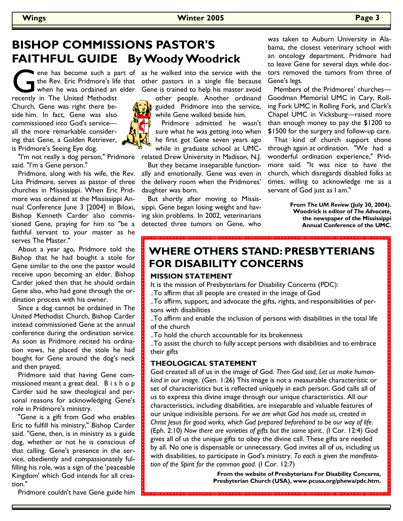#### **Wings Winter 2005 Page 3**

# **BISHOP COMMISSIONS PASTOR'S FAITHFUL GUIDE By Woody Woodrick**

The Rev. Eric Pridmore's life that other pastors in a single file because<br>
when he was ordained an elder Gene is trained to help his master avoid<br>
recently in The United Methodist<br>
the people. Another ordinand when he was ordained an elder recently in The United Methodist Church, Gene was right there be-

side him. In fact, Gene was also commissioned into God's service all the more remarkable considering that Gene, a Golden Retriever, is Pridmore's Seeing Eye dog.



 "I'm not really a dog person," Pridmore said. "I'm a Gene person."

 Pridmore, along with his wife, the Rev. Lisa Pridmore, serves as pastor of three churches in Mississippi. When Eric Pridmore was ordained at the Mississippi Annual Conference June 3 [2004] in Biloxi, Bishop Kenneth Carder also commissioned Gene, praying for him to "be a faithful servant to your master as he serves The Master."

 About a year ago, Pridmore told the Bishop that he had bought a stole for Gene similar to the one the pastor would receive upon becoming an elder. Bishop Carder joked then that he should ordain Gene also, who had gone through the ordination process with his owner.

 Since a dog cannot be ordained in The United Methodist Church, Bishop Carder instead commissioned Gene at the annual conference during the ordination service. As soon as Pridmore recited his ordination vows, he placed the stole he had bought for Gene around the dog's neck and then prayed.

 Pridmore said that having Gene commissioned meant a great deal. B i s h o p Carder said he saw theological and personal reasons for acknowledging Gene's role in Pridmore's ministry.

 "Gene is a gift from God who enables Eric to fulfill his ministry," Bishop Carder said. "Gene, then, is in ministry as a guide dog, whether or not he is conscious of that calling. Gene's presence in the service, obediently and compassionately fulfilling his role, was a sign of the 'peaceable Kingdom' which God intends for all creation."

Pridmore couldn't have Gene guide him

the Rev. Eric Pridmore's life that other pastors in a single file because Gene is trained to help his master avoid

other people. Another ordinand guided Pridmore into the service, while Gene walked beside him.

 Pridmore admitted he wasn't sure what he was getting into when he first got Gene seven years ago while in graduate school at UMC-

related Drew University in Madison, N.J.

 But they became inseparable functionally and emotionally. Gene was even in the delivery room when the Pridmores' daughter was born.

 But shortly after moving to Mississippi, Gene began losing weight and having skin problems. In 2002, veterinarians detected three tumors on Gene, who

was taken to Auburn University in Alabama, the closest veterinary school with an oncology department. Pridmore had to leave Gene for several days while doctors removed the tumors from three of Gene's legs.

 Members of the Pridmores' churches— Goodman Memorial UMC in Cary, Rolling Fork UMC in Rolling Fork, and Clark's Chapel UMC in Vicksburg—raised more than enough money to pay the \$1200 to \$1500 for the surgery and follow-up care.

 That kind of church support shone through again at ordination. "We had a wonderful ordination experience," Pridmore said. "It was nice to have the church, which disregards disabled folks at times, willing to acknowledge me as a servant of God just as I am."

> **From** *The UM Review* **(July 30, 2004). Woodrick is editor of** *The Advocate***, the newspaper of the Mississippi Annual Conference of the UMC.**

# **WHERE OTHERS STAND: PRESBYTERIANS FOR DISABILITY CONCERNS**

#### **MISSION STATEMENT**

It is the mission of Presbyterians for Disability Concerns (PDC):

..To affirm that all people are created in the image of God

..To affirm, support, and advocate the gifts, rights, and responsibilities of persons with disabilities

..To affirm and enable the inclusion of persons with disabilities in the total life of the church

..To hold the church accountable for its brokenness

..To assist the church to fully accept persons with disabilities and to embrace their gifts

### **THEOLOGICAL STATEMENT**

God created all of us in the image of God. *Then God said, Let us make humankind in our image*. (Gen. 1:26) This image is not a measurable characteristic or set of characteristics but is reflected uniquely in each person. God calls all of us to express this divine image through our unique characteristics. All our characteristics, including disabilities, are inseparable and valuable features of our unique indivisible persons. *For we are what God has made us, created in Christ Jesus for good works, which God prepared beforehand to be our way of life*. (Eph. 2:10) *Now there are varieties of gifts but the same spirit.*. (I Cor. 12:4) God gives all of us the unique gifts to obey the divine call. These gifts are needed by all. No one is dispensable or unnecessary. God invites all of us, including us with disabilities, to participate in God's ministry. *To each is given the manifestation of the Spirit for the common good*. (I Cor. 12:7)

.<br>In proposició de distribución del condicional de de de de de de de de de de de de del condiciones de la de de

**From the website of Presbyterians For Disability Concerns, Presbyterian Church (USA), www.pcusa.org/phewa/pdc.htm.**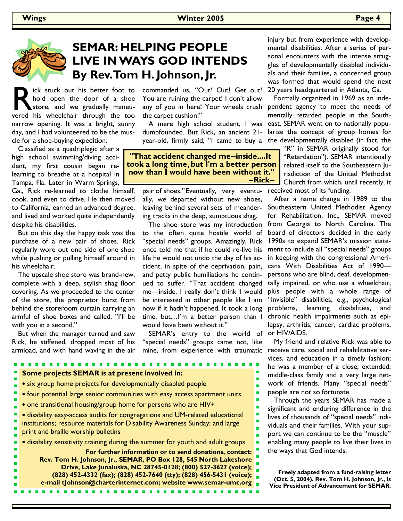

# **SEMAR: HELPING PEOPLE LIVE IN WAYS GOD INTENDS By Rev. Tom H. Johnson, Jr.**

ick stuck out his better foot to hold open the door of a shoe store, and we gradually maneuvered his wheelchair through the too narrow opening. It was a bright, sunny day, and I had volunteered to be the muscle for a shoe-buying expedition.

 Classified as a quadriplegic after a high school swimming/diving accident, my first cousin began relearning to breathe at a hospital in Tampa, Fla. Later in Warm Springs,

Ga., Rick re-learned to clothe himself, cook, and even to drive. He then moved to California, earned an advanced degree, and lived and worked quite independently despite his disabilities.

 But on this day the happy task was the purchase of a new pair of shoes. Rick regularly wore out one side of one shoe while pushing or pulling himself around in his wheelchair.

 The upscale shoe store was brand-new, complete with a deep, stylish shag floor covering. As we proceeded to the center of the store, the proprietor burst from behind the storeroom curtain carrying an armful of shoe boxes and called, "I'll be with you in a second."

 But when the manager turned and saw Rick, he stiffened, dropped most of his armload, and with hand waving in the air commanded us, "Out! Out! Get out! You are ruining the carpet! I don't allow the carpet cushion!"

 A mere high school student, I was dumbfounded. But Rick, an ancient 21 year-old, firmly said, "I came to buy a

"That accident changed me--inside....lt took a long time, but I'm a better person now than I would have been without it." --Rick--

pair of shoes." Eventually, very eventually, we departed without new shoes, leaving behind several sets of meandering tracks in the deep, sumptuous shag.

 The shoe store was my introduction to the often quite hostile world of "special needs" groups. Amazingly, Rick once told me that if he could re-live his life he would not undo the day of his accident, in spite of the deprivation, pain, and petty public humiliations he continued to suffer. "That accident changed me—inside. I really don't think I would be interested in other people like I am now if it hadn't happened. It took a long time, but…I'm a better person than I would have been without it."

 SEMAR's entry to the world of "special needs" groups came not, like mine, from experience with traumatic

**Some projects SEMAR is at present involved in:** 

- six group home projects for developmentally disabled people
- four potential large senior communities with easy access apartment units
- one transitional housing/group home for persons who are HIV+

• disability easy-access audits for congregations and UM-related educational institutions; resource materials for Disability Awareness Sunday; and large print and braille worship bulletins

• disability sensitivity training during the summer for youth and adult groups

**For further information or to send donations, contact: Rev. Tom H. Johnson, Jr., SEMAR, PO Box 128, 545 North Lakeshore Drive, Lake Junaluska, NC 28745-0128; (800) 527-3627 (voice); (828) 452-4332 (fax); (828) 452-7640 (tty); (828) 456-5431 (voice); e-mail tJohnson@charterinternet.com; website www.semar-umc.org**

injury but from experience with developmental disabilities. After a series of personal encounters with the intense struggles of developmentally disabled individuals and their families, a concerned group was formed that would spend the next 20 years headquartered in Atlanta, Ga.

 Formally organized in 1969 as an indeany of you in here! Your wheels crush pendent agency to meet the needs of mentally retarded people in the Southeast, SEMAR went on to nationally popularize the concept of group homes for the developmentally disabled (in fact, the

> "R" in SEMAR originally stood for "Retardation"). SEMAR intentionally related itself to the Southeastern Jurisdiction of the United Methodist Church from which, until recently, it received most of its funding.

> After a name change in 1989 to the Southeastern United Methodist Agency for Rehabilitation, Inc., SEMAR moved from Georgia to North Carolina. The board of directors decided in the early 1990s to expand SEMAR's mission statement to include all "special needs" groups in keeping with the congressional Americans With Disabilities Act of 1990 persons who are blind, deaf, developmentally impaired, or who use a wheelchair, plus people with a whole range of "invisible" disabilities, e.g., psychological problems, learning disabilities, and chronic health impairments such as epilepsy, arthritis, cancer, cardiac problems, or HIV/AIDS.

> My friend and relative Rick was able to receive care, social and rehabilitative services, and education in a timely fashion; he was a member of a close, extended, middle-class family and a very large network of friends. Many "special needs" people are not so fortunate.

> Through the years SEMAR has made a significant and enduring difference in the lives of thousands of "special needs" individuals and their families. With your support we can continue to be the "muscle" enabling many people to live their lives in the ways that God intends.

**Freely adapted from a fund-raising letter (Oct. 5, 2004). Rev. Tom H. Johnson, Jr., is Vice President of Advancement for SEMAR.**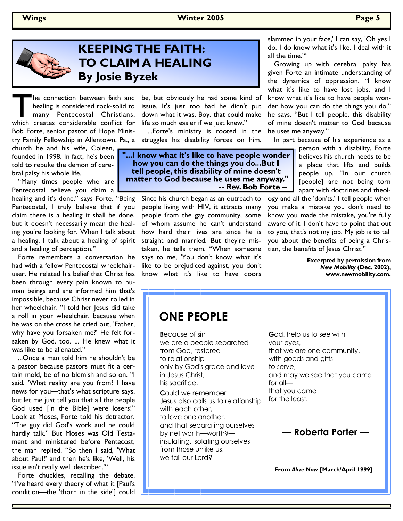### **Wings Winter 2005 Page 5**



# **KEEPING THE FAITH: TO CLAIM A HEALING By Josie Byzek**

The connection between faith and healing is considered rock-solid to many Pentecostal Christians, which creates considerable conflict for healing is considered rock-solid to many Pentecostal Christians, Bob Forte, senior pastor of Hope Minis-

church he and his wife, Coleen, founded in 1998. In fact, he's been told to rebuke the demon of cerebral palsy his whole life.

 "Many times people who are Pentecostal believe you claim a healing and it's done," says Forte. "Being Pentecostal, I truly believe that if you claim there is a healing it shall be done, but it doesn't necessarily mean the healing you're looking for. When I talk about a healing, I talk about a healing of spirit and a healing of perception."

 Forte remembers a conversation he had with a fellow Pentecostal wheelchairuser. He related his belief that Christ has been through every pain known to human beings and she informed him that's impossible, because Christ never rolled in her wheelchair. "I told her Jesus did take a roll in your wheelchair, because when he was on the cross he cried out, 'Father, why have you forsaken me?' He felt forsaken by God, too. ... He knew what it was like to be alienated."

 ...Once a man told him he shouldn't be a pastor because pastors must fit a certain mold, be of no blemish and so on. "I said, 'What reality are you from? I have news for you—that's what scripture says, but let me just tell you that all the people God used [in the Bible] were losers!" Look at Moses, Forte told his detractor. "The guy did God's work and he could hardly talk." But Moses was Old Testament and ministered before Pentecost, the man replied. "So then I said, 'What about Paul?' and then he's like, 'Well, his issue isn't really well described.'"

 Forte chuckles, recalling the debate. "I've heard every theory of what it [Paul's condition—the 'thorn in the side'] could

he connection between faith and be, but obviously he had some kind of issue. It's just too bad he didn't put down what it was. Boy, that could make life so much easier if we just knew."

 ...Forte's ministry is rooted in the try Family Fellowship in Allentown, Pa., a struggles his disability forces on him.

> "...I know what it's like to have people wonder how you can do the things you do...But I tell people, this disability of mine doesn't matter to God because he uses me anyway." -- Rev. Bob Forte --

> > Since his church began as an outreach to people living with HIV, it attracts many people from the gay community, some of whom assume he can't understand how hard their lives are since he is straight and married. But they're mistaken, he tells them. "When someone says to me, 'You don't know what it's like to be prejudiced against, you don't know what it's like to have doors

slammed in your face,' I can say, 'Oh yes I do. I do know what it's like. I deal with it all the time.'"

 Growing up with cerebral palsy has given Forte an intimate understanding of the dynamics of oppression. "I know what it's like to have lost jobs, and I know what it's like to have people wonder how you can do the things you do," he says. "But I tell people, this disability of mine doesn't matter to God because he uses me anyway."

In part because of his experience as a

person with a disability, Forte believes his church needs to be a place that lifts and builds people up. "In our church [people] are not being torn apart with doctrines and theol-

ogy and all the 'don'ts.' I tell people when you make a mistake you don't need to know you made the mistake, you're fully aware of it. I don't have to point that out to you, that's not my job. My job is to tell you about the benefits of being a Christian, the benefits of Jesus Christ.'

> **Excerpted by permission from**  *New Mobility* **(Dec. 2002), www.newmobility.com.**

# **ONE PEOPLE**

**B**ecause of sin we are a people separated from God, restored to relationship only by God's grace and love in Jesus Christ, his sacrifice.

**C**ould we remember Jesus also calls us to relationship with each other, to love one another, and that separating ourselves by net worth—worth? insulating, isolating ourselves from those unlike us, we fail our Lord?

**G**od, help us to see with your eyes, that we are one community, with goods and gifts to serve, and may we see that you came for all that you came for the least.

**— Roberta Porter —**

**From** *Alive Now* **[March/April 1999]**